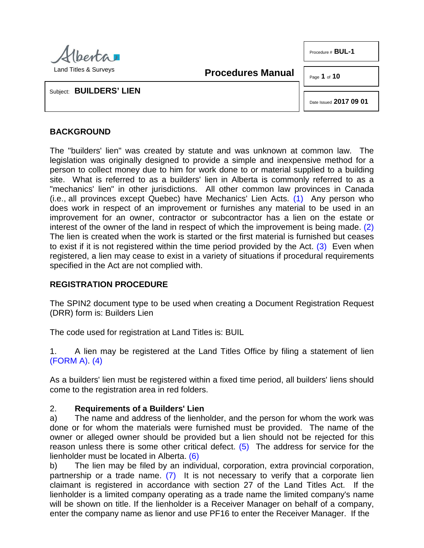

Land Titles & Surveys

**Procedures Manual**

Page **1** of **10**

Procedure # **BUL-1** 

Subject: **BUILDERS' LIEN**

<span id="page-0-2"></span><span id="page-0-1"></span><span id="page-0-0"></span>Date Issued **2017 09 01**

## **BACKGROUND**

The "builders' lien" was created by statute and was unknown at common law. The legislation was originally designed to provide a simple and inexpensive method for a person to collect money due to him for work done to or material supplied to a building site. What is referred to as a builders' lien in Alberta is commonly referred to as a "mechanics' lien" in other jurisdictions. All other common law provinces in Canada (i.e., all provinces except Quebec) have Mechanics' Lien Acts. [\(1\)](#page-7-0) Any person who does work in respect of an improvement or furnishes any material to be used in an improvement for an owner, contractor or subcontractor has a lien on the estate or interest of the owner of the land in respect of which the improvement is being made. [\(2\)](#page-7-1)  The lien is created when the work is started or the first material is furnished but ceases to exist if it is not registered within the time period provided by the Act. [\(3\)](#page-7-2) Even when registered, a lien may cease to exist in a variety of situations if procedural requirements specified in the Act are not complied with.

### **REGISTRATION PROCEDURE**

The SPIN2 document type to be used when creating a Document Registration Request (DRR) form is: Builders Lien

The code used for registration at Land Titles is: BUIL

<span id="page-0-3"></span>1. A lien may be registered at the Land Titles Office by filing a statement of lien [\(FORM A\).](http://www.servicealberta.ca/pdf/ltmanual/BUL-1-FORMA.pdf) [\(4\)](#page-7-3)

As a builders' lien must be registered within a fixed time period, all builders' liens should come to the registration area in red folders.

### 2. **Requirements of a Builders' Lien**

a) The name and address of the lienholder, and the person for whom the work was done or for whom the materials were furnished must be provided. The name of the owner or alleged owner should be provided but a lien should not be rejected for this reason unless there is some other critical defect.  $(5)$  The address for service for the lienholder must be located in Alberta. [\(6\)](#page-7-5)

<span id="page-0-6"></span><span id="page-0-5"></span><span id="page-0-4"></span>b) The lien may be filed by an individual, corporation, extra provincial corporation, partnership or a trade name. [\(7\)](#page-7-6) It is not necessary to verify that a corporate lien claimant is registered in accordance with section 27 of the Land Titles Act. If the lienholder is a limited company operating as a trade name the limited company's name will be shown on title. If the lienholder is a Receiver Manager on behalf of a company, enter the company name as lienor and use PF16 to enter the Receiver Manager. If the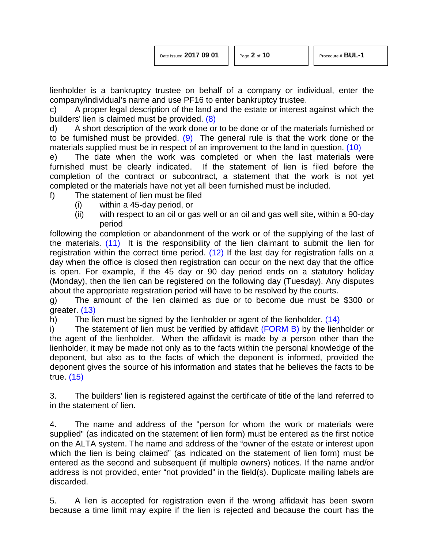<span id="page-1-1"></span>

| Date Issued 2017 09 01 |  |  |
|------------------------|--|--|
|                        |  |  |

<span id="page-1-2"></span><span id="page-1-0"></span>

lienholder is a bankruptcy trustee on behalf of a company or individual, enter the company/individual's name and use PF16 to enter bankruptcy trustee.

c) A proper legal description of the land and the estate or interest against which the builders' lien is claimed must be provided. [\(8\)](#page-7-7)

d) A short description of the work done or to be done or of the materials furnished or to be furnished must be provided.  $(9)$  The general rule is that the work done or the materials supplied must be in respect of an improvement to the land in question. [\(10\)](#page-7-9)

e) The date when the work was completed or when the last materials were furnished must be clearly indicated. If the statement of lien is filed before the completion of the contract or subcontract, a statement that the work is not yet completed or the materials have not yet all been furnished must be included.

- f) The statement of lien must be filed
	- (i) within a 45-day period, or
	- (ii) with respect to an oil or gas well or an oil and gas well site, within a 90-day period

<span id="page-1-4"></span><span id="page-1-3"></span>following the completion or abandonment of the work or of the supplying of the last of the materials. [\(11\)](#page-7-10) It is the responsibility of the lien claimant to submit the lien for registration within the correct time period. [\(12\)](#page-7-11) If the last day for registration falls on a day when the office is closed then registration can occur on the next day that the office is open. For example, if the 45 day or 90 day period ends on a statutory holiday (Monday), then the lien can be registered on the following day (Tuesday). Any disputes about the appropriate registration period will have to be resolved by the courts.

<span id="page-1-5"></span>g) The amount of the lien claimed as due or to become due must be \$300 or greater. [\(13\)](#page-7-12)

<span id="page-1-6"></span>h) The lien must be signed by the lienholder or agent of the lienholder. [\(14\)](#page-7-13)

i) The statement of lien must be verified by affidavit [\(FORM B\)](http://www.servicealberta.ca/pdf/ltmanual/BUL-1-FORMB.pdf) by the lienholder or the agent of the lienholder. When the affidavit is made by a person other than the lienholder, it may be made not only as to the facts within the personal knowledge of the deponent, but also as to the facts of which the deponent is informed, provided the deponent gives the source of his information and states that he believes the facts to be true. [\(15\)](#page-7-14)

<span id="page-1-7"></span>3. The builders' lien is registered against the certificate of title of the land referred to in the statement of lien.

4. The name and address of the "person for whom the work or materials were supplied" (as indicated on the statement of lien form) must be entered as the first notice on the ALTA system. The name and address of the "owner of the estate or interest upon which the lien is being claimed" (as indicated on the statement of lien form) must be entered as the second and subsequent (if multiple owners) notices. If the name and/or address is not provided, enter "not provided" in the field(s). Duplicate mailing labels are discarded.

5. A lien is accepted for registration even if the wrong affidavit has been sworn because a time limit may expire if the lien is rejected and because the court has the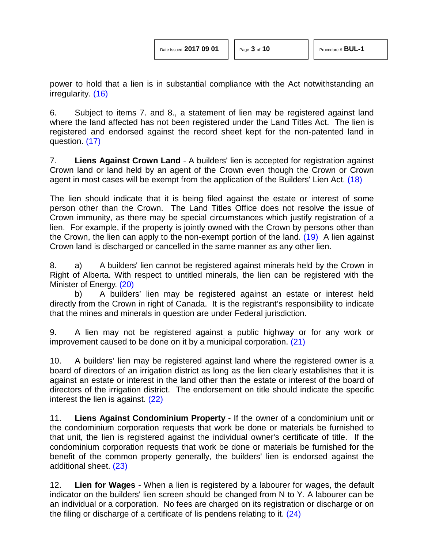<span id="page-2-3"></span><span id="page-2-2"></span>

<span id="page-2-0"></span>power to hold that a lien is in substantial compliance with the Act notwithstanding an irregularity. [\(16\)](#page-7-15)

6. Subject to items 7. and 8., a statement of lien may be registered against land where the land affected has not been registered under the Land Titles Act. The lien is registered and endorsed against the record sheet kept for the non-patented land in question. [\(17\)](#page-7-16)

<span id="page-2-1"></span>7. **Liens Against Crown Land** - A builders' lien is accepted for registration against Crown land or land held by an agent of the Crown even though the Crown or Crown agent in most cases will be exempt from the application of the Builders' Lien Act. [\(18\)](#page-8-0) 

The lien should indicate that it is being filed against the estate or interest of some person other than the Crown. The Land Titles Office does not resolve the issue of Crown immunity, as there may be special circumstances which justify registration of a lien. For example, if the property is jointly owned with the Crown by persons other than the Crown, the lien can apply to the non-exempt portion of the land.  $(19)$  A lien against Crown land is discharged or cancelled in the same manner as any other lien.

8. a) A builders' lien cannot be registered against minerals held by the Crown in Right of Alberta. With respect to untitled minerals, the lien can be registered with the Minister of Energy. [\(20\)](#page-8-2)

<span id="page-2-4"></span>b) A builders' lien may be registered against an estate or interest held directly from the Crown in right of Canada. It is the registrant's responsibility to indicate that the mines and minerals in question are under Federal jurisdiction.

<span id="page-2-5"></span>9. A lien may not be registered against a public highway or for any work or improvement caused to be done on it by a municipal corporation. [\(21\)](#page-8-3)

10. A builders' lien may be registered against land where the registered owner is a board of directors of an irrigation district as long as the lien clearly establishes that it is against an estate or interest in the land other than the estate or interest of the board of directors of the irrigation district. The endorsement on title should indicate the specific interest the lien is against. [\(22\)](#page-8-3)

<span id="page-2-6"></span>11. **Liens Against Condominium Property** - If the owner of a condominium unit or the condominium corporation requests that work be done or materials be furnished to that unit, the lien is registered against the individual owner's certificate of title. If the condominium corporation requests that work be done or materials be furnished for the benefit of the common property generally, the builders' lien is endorsed against the additional sheet. [\(23\)](#page-8-4)

<span id="page-2-8"></span><span id="page-2-7"></span>12. **Lien for Wages** - When a lien is registered by a labourer for wages, the default indicator on the builders' lien screen should be changed from N to Y. A labourer can be an individual or a corporation. No fees are charged on its registration or discharge or on the filing or discharge of a certificate of lis pendens relating to it. [\(24\)](#page-8-5)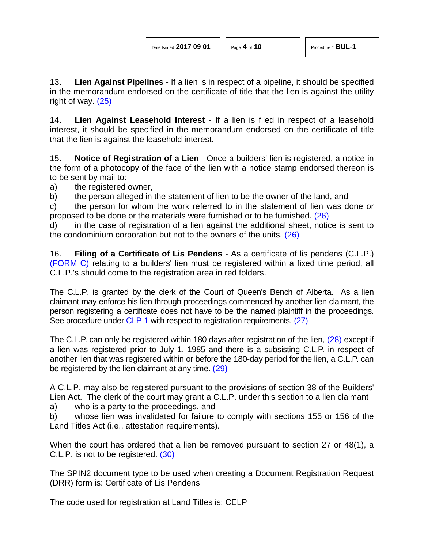<span id="page-3-0"></span>13. **Lien Against Pipelines** - If a lien is in respect of a pipeline, it should be specified in the memorandum endorsed on the certificate of title that the lien is against the utility right of way. [\(25\)](#page-8-6)

14. **Lien Against Leasehold Interest** - If a lien is filed in respect of a leasehold interest, it should be specified in the memorandum endorsed on the certificate of title that the lien is against the leasehold interest.

15. **Notice of Registration of a Lien** - Once a builders' lien is registered, a notice in the form of a photocopy of the face of the lien with a notice stamp endorsed thereon is to be sent by mail to:

a) the registered owner,

b) the person alleged in the statement of lien to be the owner of the land, and

c) the person for whom the work referred to in the statement of lien was done or proposed to be done or the materials were furnished or to be furnished. [\(26\)](#page-8-7)

<span id="page-3-1"></span>d) in the case of registration of a lien against the additional sheet, notice is sent to the condominium corporation but not to the owners of the units. [\(26\)](#page-8-7)

16. **Filing of a Certificate of Lis Pendens** - As a certificate of lis pendens (C.L.P.) [\(FORM C\)](http://www.servicealberta.ca/pdf/ltmanual/BUL-1-FORMC.pdf) relating to a builders' lien must be registered within a fixed time period, all C.L.P.'s should come to the registration area in red folders.

The C.L.P. is granted by the clerk of the Court of Queen's Bench of Alberta. As a lien claimant may enforce his lien through proceedings commenced by another lien claimant, the person registering a certificate does not have to be the named plaintiff in the proceedings. See procedure under [CLP-1](http://www.servicealberta.ca/pdf/ltmanual/CLP-1.pdf) with respect to registration requirements. [\(27\)](#page-8-8)

<span id="page-3-3"></span><span id="page-3-2"></span>The C.L.P. can only be registered within 180 days after registration of the lien, [\(28\)](#page-8-9) except if a lien was registered prior to July 1, 1985 and there is a subsisting C.L.P. in respect of another lien that was registered within or before the 180-day period for the lien, a C.L.P. can be registered by the lien claimant at any time. [\(29\)](#page-8-10)

<span id="page-3-4"></span>A C.L.P. may also be registered pursuant to the provisions of section 38 of the Builders' Lien Act. The clerk of the court may grant a C.L.P. under this section to a lien claimant

a) who is a party to the proceedings, and

b) whose lien was invalidated for failure to comply with sections 155 or 156 of the Land Titles Act (i.e., attestation requirements).

<span id="page-3-5"></span>When the court has ordered that a lien be removed pursuant to section 27 or 48(1), a C.L.P. is not to be registered. [\(30\)](#page-8-11)

The SPIN2 document type to be used when creating a Document Registration Request (DRR) form is: Certificate of Lis Pendens

The code used for registration at Land Titles is: CELP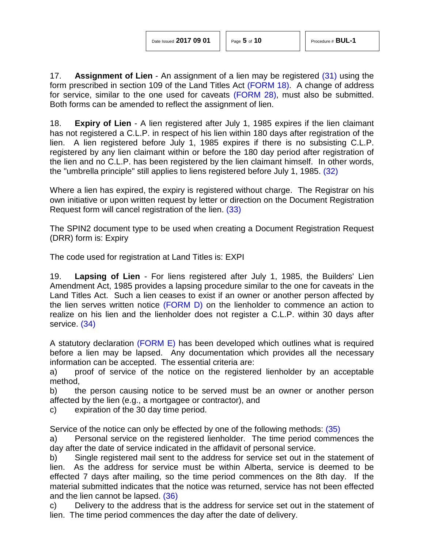<span id="page-4-0"></span>17. **Assignment of Lien** - An assignment of a lien may be registered [\(31\)](#page-8-12) using the form prescribed in section 109 of the Land Titles Act [\(FORM 18\).](http://www.servicealberta.ca/pdf/ltmanual/FORM18.pdf) A change of address for service, similar to the one used for caveats [\(FORM 28\),](http://www.servicealberta.ca/pdf/ltmanual/FORM28.pdf) must also be submitted. Both forms can be amended to reflect the assignment of lien.

18. **Expiry of Lien** - A lien registered after July 1, 1985 expires if the lien claimant has not registered a C.L.P. in respect of his lien within 180 days after registration of the lien. A lien registered before July 1, 1985 expires if there is no subsisting C.L.P. registered by any lien claimant within or before the 180 day period after registration of the lien and no C.L.P. has been registered by the lien claimant himself. In other words, the "umbrella principle" still applies to liens registered before July 1, 1985. [\(32\)](#page-8-13)

<span id="page-4-2"></span><span id="page-4-1"></span>Where a lien has expired, the expiry is registered without charge. The Registrar on his own initiative or upon written request by letter or direction on the Document Registration Request form will cancel registration of the lien. [\(33\)](#page-9-0)

The SPIN2 document type to be used when creating a Document Registration Request (DRR) form is: Expiry

The code used for registration at Land Titles is: EXPI

19. **Lapsing of Lien** - For liens registered after July 1, 1985, the Builders' Lien Amendment Act, 1985 provides a lapsing procedure similar to the one for caveats in the Land Titles Act. Such a lien ceases to exist if an owner or another person affected by the lien serves written notice [\(FORM D\)](http://www.servicealberta.ca/pdf/ltmanual/BUL-1-FORMD.pdf) on the lienholder to commence an action to realize on his lien and the lienholder does not register a C.L.P. within 30 days after service. [\(34\)](#page-9-1)

<span id="page-4-3"></span>A statutory declaration [\(FORM E\)](http://www.servicealberta.ca/pdf/ltmanual/BUL-1-FORME.pdf) has been developed which outlines what is required before a lien may be lapsed. Any documentation which provides all the necessary information can be accepted. The essential criteria are:

a) proof of service of the notice on the registered lienholder by an acceptable method,

b) the person causing notice to be served must be an owner or another person affected by the lien (e.g., a mortgagee or contractor), and

c) expiration of the 30 day time period.

<span id="page-4-4"></span>Service of the notice can only be effected by one of the following methods: [\(35\)](#page-9-2)

a) Personal service on the registered lienholder. The time period commences the day after the date of service indicated in the affidavit of personal service.

b) Single registered mail sent to the address for service set out in the statement of lien. As the address for service must be within Alberta, service is deemed to be effected 7 days after mailing, so the time period commences on the 8th day. If the material submitted indicates that the notice was returned, service has not been effected and the lien cannot be lapsed. [\(36\)](#page-9-3)

<span id="page-4-5"></span>c) Delivery to the address that is the address for service set out in the statement of lien. The time period commences the day after the date of delivery.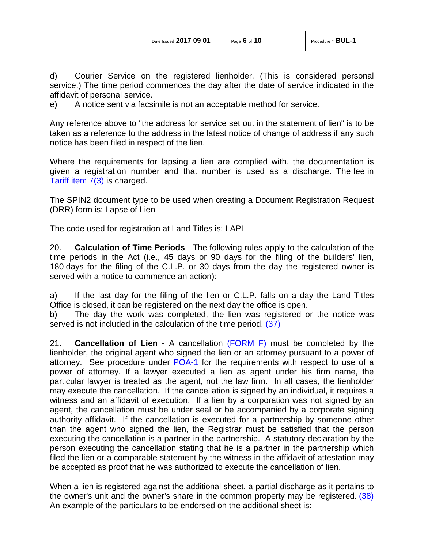d) Courier Service on the registered lienholder. (This is considered personal service.) The time period commences the day after the date of service indicated in the affidavit of personal service.

e) A notice sent via facsimile is not an acceptable method for service.

Any reference above to "the address for service set out in the statement of lien" is to be taken as a reference to the address in the latest notice of change of address if any such notice has been filed in respect of the lien.

Where the requirements for lapsing a lien are complied with, the documentation is given a registration number and that number is used as a discharge. The fee in [Tariff item](http://www.servicealberta.ca/pdf/ltmanual/APPENDIXI.pdf) 7(3) is charged.

The SPIN2 document type to be used when creating a Document Registration Request (DRR) form is: Lapse of Lien

The code used for registration at Land Titles is: LAPL

20. **Calculation of Time Periods** - The following rules apply to the calculation of the time periods in the Act (i.e., 45 days or 90 days for the filing of the builders' lien, 180 days for the filing of the C.L.P. or 30 days from the day the registered owner is served with a notice to commence an action):

a) If the last day for the filing of the lien or C.L.P. falls on a day the Land Titles Office is closed, it can be registered on the next day the office is open.

<span id="page-5-0"></span>b) The day the work was completed, the lien was registered or the notice was served is not included in the calculation of the time period. [\(37\)](#page-9-4)

21. **Cancellation of Lien** - A cancellation [\(FORM F\)](http://www.servicealberta.ca/pdf/ltmanual/BUL-1-FORMF.pdf) must be completed by the lienholder, the original agent who signed the lien or an attorney pursuant to a power of attorney. See procedure under [POA-1](http://www.servicealberta.ca/pdf/ltmanual/POA-1.pdf) for the requirements with respect to use of a power of attorney. If a lawyer executed a lien as agent under his firm name, the particular lawyer is treated as the agent, not the law firm. In all cases, the lienholder may execute the cancellation. If the cancellation is signed by an individual, it requires a witness and an affidavit of execution. If a lien by a corporation was not signed by an agent, the cancellation must be under seal or be accompanied by a corporate signing authority affidavit. If the cancellation is executed for a partnership by someone other than the agent who signed the lien, the Registrar must be satisfied that the person executing the cancellation is a partner in the partnership. A statutory declaration by the person executing the cancellation stating that he is a partner in the partnership which filed the lien or a comparable statement by the witness in the affidavit of attestation may be accepted as proof that he was authorized to execute the cancellation of lien.

<span id="page-5-1"></span>When a lien is registered against the additional sheet, a partial discharge as it pertains to the owner's unit and the owner's share in the common property may be registered. [\(38\)](#page-9-5)  An example of the particulars to be endorsed on the additional sheet is: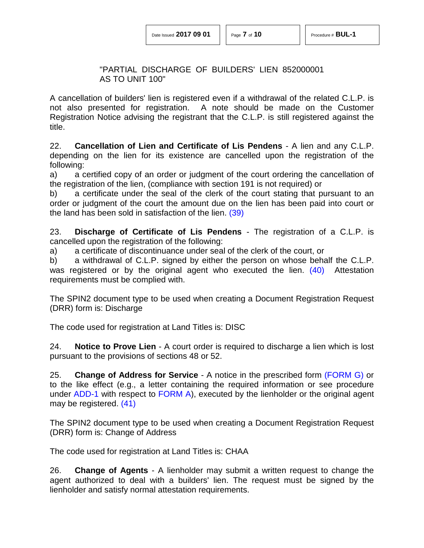#### "PARTIAL DISCHARGE OF BUILDERS' LIEN 852000001 AS TO UNIT 100"

A cancellation of builders' lien is registered even if a withdrawal of the related C.L.P. is not also presented for registration. A note should be made on the Customer Registration Notice advising the registrant that the C.L.P. is still registered against the title.

22. **Cancellation of Lien and Certificate of Lis Pendens** - A lien and any C.L.P. depending on the lien for its existence are cancelled upon the registration of the following:

a) a certified copy of an order or judgment of the court ordering the cancellation of the registration of the lien, (compliance with section 191 is not required) or

<span id="page-6-0"></span>b) a certificate under the seal of the clerk of the court stating that pursuant to an order or judgment of the court the amount due on the lien has been paid into court or the land has been sold in satisfaction of the lien. [\(39\)](#page-9-6)

23. **Discharge of Certificate of Lis Pendens** - The registration of a C.L.P. is cancelled upon the registration of the following:

a) a certificate of discontinuance under seal of the clerk of the court, or

<span id="page-6-1"></span>b) a withdrawal of C.L.P. signed by either the person on whose behalf the C.L.P. was registered or by the original agent who executed the lien. [\(40\)](#page-9-7) Attestation requirements must be complied with.

The SPIN2 document type to be used when creating a Document Registration Request (DRR) form is: Discharge

The code used for registration at Land Titles is: DISC

24. **Notice to Prove Lien** - A court order is required to discharge a lien which is lost pursuant to the provisions of sections 48 or 52.

25. **Change of Address for Service** - A notice in the prescribed form [\(FORM G\)](http://www.servicealberta.ca/pdf/ltmanual/BUL-1-FORMG.pdf) or to the like effect (e.g., a letter containing the required information or see procedure under [ADD-1](http://www.servicealberta.ca/pdf/ltmanual/ADD-1.pdf) with respect to [FORM A\)](http://www.servicealberta.ca/pdf/ltmanual/ADD-1-FORMA.pdf), executed by the lienholder or the original agent may be registered. [\(41\)](#page-9-8)

<span id="page-6-2"></span>The SPIN2 document type to be used when creating a Document Registration Request (DRR) form is: Change of Address

The code used for registration at Land Titles is: CHAA

26. **Change of Agents** - A lienholder may submit a written request to change the agent authorized to deal with a builders' lien. The request must be signed by the lienholder and satisfy normal attestation requirements.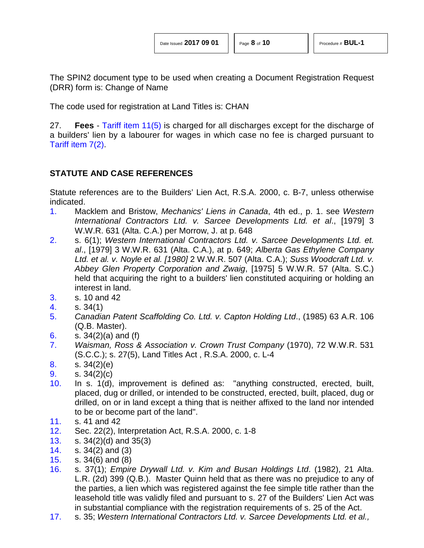| Date Issued 2017 09 01 |  |  |  |
|------------------------|--|--|--|
|------------------------|--|--|--|

The SPIN2 document type to be used when creating a Document Registration Request (DRR) form is: Change of Name

The code used for registration at Land Titles is: CHAN

27. **Fees** - [Tariff item 11\(5\)](http://www.servicealberta.ca/pdf/ltmanual/APPENDIXI.pdf) is charged for all discharges except for the discharge of a builders' lien by a labourer for wages in which case no fee is charged pursuant to [Tariff item 7\(2\).](http://www.servicealberta.ca/pdf/ltmanual/APPENDIXI.pdf)

# **STATUTE AND CASE REFERENCES**

Statute references are to the Builders' Lien Act, R.S.A. 2000, c. B-7, unless otherwise indicated.

- <span id="page-7-0"></span>[1.](#page-0-0) Macklem and Bristow, *Mechanics' Liens in Canada*, 4th ed., p. 1. see *Western International Contractors Ltd. v. Sarcee Developments Ltd. et al*., [1979] 3 W.W.R. 631 (Alta. C.A.) per Morrow, J. at p. 648
- <span id="page-7-1"></span>[2.](#page-0-1) s. 6(1); *Western International Contractors Ltd. v. Sarcee Developments Ltd. et. al*., [1979] 3 W.W.R. 631 (Alta. C.A.), at p. 649; *Alberta Gas Ethylene Company Ltd. et al. v. Noyle et al. [1980]* 2 W.W.R. 507 (Alta. C.A.); *Suss Woodcraft Ltd. v. Abbey Glen Property Corporation and Zwaig*, [1975] 5 W.W.R. 57 (Alta. S.C.) held that acquiring the right to a builders' lien constituted acquiring or holding an interest in land.
- <span id="page-7-2"></span>[3.](#page-0-2) s. 10 and 42
- <span id="page-7-3"></span>[4.](#page-0-3) s. 34(1)
- <span id="page-7-4"></span>[5.](#page-0-4) *Canadian Patent Scaffolding Co. Ltd. v. Capton Holding Ltd*., (1985) 63 A.R. 106 (Q.B. Master).
- <span id="page-7-5"></span>[6.](#page-0-5) s. 34(2)(a) and (f)
- <span id="page-7-6"></span>[7.](#page-0-6) *Waisman, Ross & Association v. Crown Trust Company* (1970), 72 W.W.R. 531 (S.C.C.); s. 27(5), Land Titles Act , R.S.A. 2000, c. L-4
- <span id="page-7-7"></span>[8.](#page-1-0) s.  $34(2)(e)$
- <span id="page-7-8"></span>[9.](#page-1-1) s. 34(2)(c)
- <span id="page-7-9"></span>[10.](#page-1-2) In s. 1(d), improvement is defined as: "anything constructed, erected, built, placed, dug or drilled, or intended to be constructed, erected, built, placed, dug or drilled, on or in land except a thing that is neither affixed to the land nor intended to be or become part of the land".
- <span id="page-7-10"></span>[11.](#page-1-3) s. 41 and 42
- <span id="page-7-11"></span>[12.](#page-1-4) Sec. 22(2), Interpretation Act, R.S.A. 2000, c. 1-8
- <span id="page-7-12"></span>[13.](#page-1-5) s. 34(2)(d) and 35(3)
- <span id="page-7-13"></span>[14.](#page-1-6) s. 34(2) and (3)
- <span id="page-7-14"></span>[15.](#page-1-7) s. 34(6) and (8)
- <span id="page-7-15"></span>[16.](#page-2-0) s. 37(1); *Empire Drywall Ltd. v. Kim and Busan Holdings Ltd*. (1982), 21 Alta. L.R. (2d) 399 (Q.B.). Master Quinn held that as there was no prejudice to any of the parties, a lien which was registered against the fee simple title rather than the leasehold title was validly filed and pursuant to s. 27 of the Builders' Lien Act was in substantial compliance with the registration requirements of s. 25 of the Act.
- <span id="page-7-16"></span>[17.](#page-2-1) s. 35; *Western International Contractors Ltd. v. Sarcee Developments Ltd. et al.,*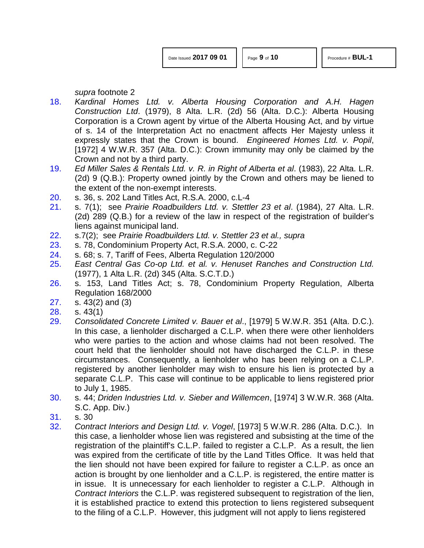*supra* footnote 2

- <span id="page-8-0"></span>[18.](#page-2-2) *Kardinal Homes Ltd. v. Alberta Housing Corporation and A.H. Hagen Construction Ltd*. (1979), 8 Alta. L.R. (2d) 56 (Alta. D.C.): Alberta Housing Corporation is a Crown agent by virtue of the Alberta Housing Act, and by virtue of s. 14 of the Interpretation Act no enactment affects Her Majesty unless it expressly states that the Crown is bound. *Engineered Homes Ltd. v. Popil*, [1972] 4 W.W.R. 357 (Alta. D.C.): Crown immunity may only be claimed by the Crown and not by a third party.
- <span id="page-8-1"></span>[19.](#page-2-3) *Ed Miller Sales & Rentals Ltd. v. R. in Right of Alberta et al*. (1983), 22 Alta. L.R. (2d) 9 (Q.B.): Property owned jointly by the Crown and others may be liened to the extent of the non-exempt interests.
- <span id="page-8-2"></span>[20.](#page-2-4) s. 36, s. 202 Land Titles Act, R.S.A. 2000, c.L-4
- <span id="page-8-3"></span>[21.](#page-2-5) s. 7(1); see *Prairie Roadbuilders Ltd. v. Stettler 23 et al*. (1984), 27 Alta. L.R. (2d) 289 (Q.B.) for a review of the law in respect of the registration of builder's liens against municipal land.
- [22.](#page-2-6) s.7(2); see *Prairie Roadbuilders Ltd. v. Stettler 23 et al., supra*
- <span id="page-8-4"></span>[23.](#page-2-7) s. 78, Condominium Property Act, R.S.A. 2000, c. C-22
- <span id="page-8-5"></span>[24.](#page-2-8) s. 68; s. 7, Tariff of Fees, Alberta Regulation 120/2000
- <span id="page-8-6"></span>[25.](#page-3-0) *East Central Gas Co-op Ltd. et al. v. Henuset Ranches and Construction Ltd.*  (1977), 1 Alta L.R. (2d) 345 (Alta. S.C.T.D.)
- <span id="page-8-7"></span>[26.](#page-3-1) s. 153, Land Titles Act; s. 78, Condominium Property Regulation, Alberta Regulation 168/2000
- <span id="page-8-8"></span>[27.](#page-3-2) s. 43(2) and (3)
- <span id="page-8-9"></span>[28.](#page-3-3) s. 43(1)
- <span id="page-8-10"></span>[29.](#page-3-4) *Consolidated Concrete Limited v. Bauer et al*., [1979] 5 W.W.R. 351 (Alta. D.C.). In this case, a lienholder discharged a C.L.P. when there were other lienholders who were parties to the action and whose claims had not been resolved. The court held that the lienholder should not have discharged the C.L.P. in these circumstances. Consequently, a lienholder who has been relying on a C.L.P. registered by another lienholder may wish to ensure his lien is protected by a separate C.L.P. This case will continue to be applicable to liens registered prior to July 1, 1985.
- <span id="page-8-11"></span>[30.](#page-3-5) s. 44; *Driden Industries Ltd. v. Sieber and Willemcen*, [1974] 3 W.W.R. 368 (Alta. S.C. App. Div.)
- <span id="page-8-12"></span>[31.](#page-4-0) s. 30
- <span id="page-8-13"></span>[32.](#page-4-1) *Contract Interiors and Design Ltd. v. Vogel*, [1973] 5 W.W.R. 286 (Alta. D.C.). In this case, a lienholder whose lien was registered and subsisting at the time of the registration of the plaintiff's C.L.P. failed to register a C.L.P. As a result, the lien was expired from the certificate of title by the Land Titles Office. It was held that the lien should not have been expired for failure to register a C.L.P. as once an action is brought by one lienholder and a C.L.P. is registered, the entire matter is in issue. It is unnecessary for each lienholder to register a C.L.P. Although in *Contract Interiors* the C.L.P. was registered subsequent to registration of the lien, it is established practice to extend this protection to liens registered subsequent to the filing of a C.L.P. However, this judgment will not apply to liens registered